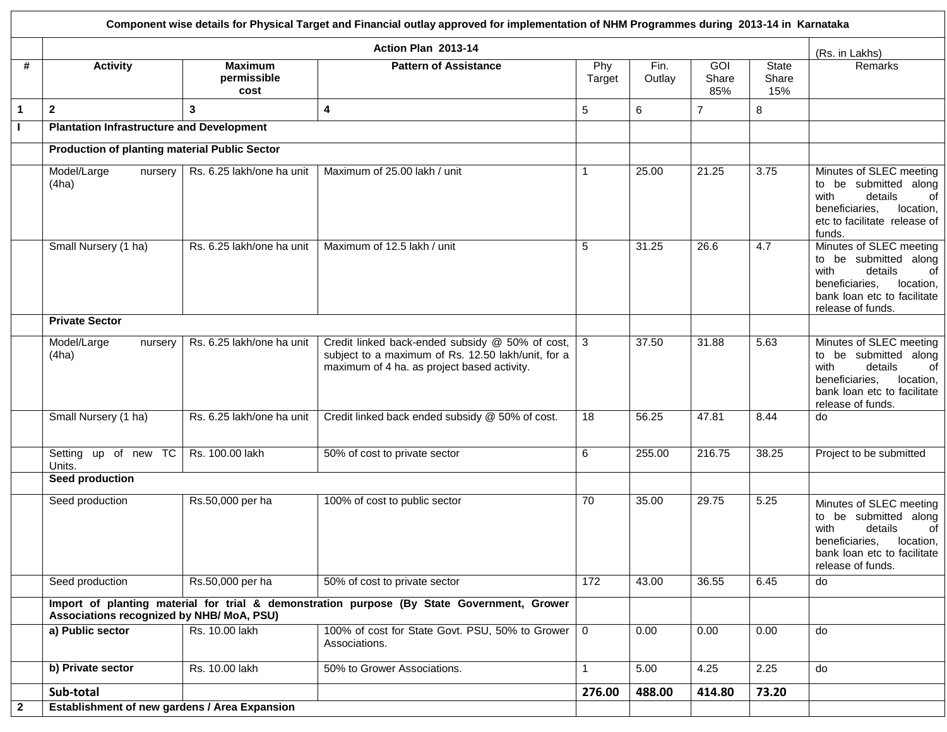|                                                                                                                                         | Component wise details for Physical Target and Financial outlay approved for implementation of NHM Programmes during 2013-14 in Karnataka |                                       |                                                                                                                                                      |                |                |                     |                       |                                                                                                                                                              |  |  |  |
|-----------------------------------------------------------------------------------------------------------------------------------------|-------------------------------------------------------------------------------------------------------------------------------------------|---------------------------------------|------------------------------------------------------------------------------------------------------------------------------------------------------|----------------|----------------|---------------------|-----------------------|--------------------------------------------------------------------------------------------------------------------------------------------------------------|--|--|--|
|                                                                                                                                         |                                                                                                                                           |                                       | Action Plan 2013-14                                                                                                                                  |                |                |                     |                       | (Rs. in Lakhs)                                                                                                                                               |  |  |  |
| #                                                                                                                                       | <b>Activity</b>                                                                                                                           | <b>Maximum</b><br>permissible<br>cost | <b>Pattern of Assistance</b>                                                                                                                         | Phy<br>Target  | Fin.<br>Outlay | GOI<br>Share<br>85% | State<br>Share<br>15% | Remarks                                                                                                                                                      |  |  |  |
| $\mathbf{1}$                                                                                                                            | $\mathbf{2}$                                                                                                                              | 3                                     | 4                                                                                                                                                    | $\sqrt{5}$     | 6              | $\overline{7}$      | 8                     |                                                                                                                                                              |  |  |  |
| $\mathbf{I}$                                                                                                                            | <b>Plantation Infrastructure and Development</b>                                                                                          |                                       |                                                                                                                                                      |                |                |                     |                       |                                                                                                                                                              |  |  |  |
|                                                                                                                                         | <b>Production of planting material Public Sector</b>                                                                                      |                                       |                                                                                                                                                      |                |                |                     |                       |                                                                                                                                                              |  |  |  |
|                                                                                                                                         | Model/Large<br>nursery<br>(4ha)                                                                                                           | Rs. 6.25 lakh/one ha unit             | Maximum of 25.00 lakh / unit                                                                                                                         | $\mathbf{1}$   | 25.00          | 21.25               | 3.75                  | Minutes of SLEC meeting<br>to be submitted along<br>with<br>details<br>of<br>beneficiaries,<br>location,<br>etc to facilitate release of<br>funds.           |  |  |  |
|                                                                                                                                         | Small Nursery (1 ha)                                                                                                                      | Rs. 6.25 lakh/one ha unit             | Maximum of 12.5 lakh / unit                                                                                                                          | 5              | 31.25          | 26.6                | 4.7                   | Minutes of SLEC meeting<br>to be submitted along<br>details<br>with<br>of<br>beneficiaries,<br>location,<br>bank loan etc to facilitate<br>release of funds. |  |  |  |
|                                                                                                                                         | <b>Private Sector</b>                                                                                                                     |                                       |                                                                                                                                                      |                |                |                     |                       |                                                                                                                                                              |  |  |  |
|                                                                                                                                         | Model/Large<br>nursery<br>(4ha)                                                                                                           | Rs. 6.25 lakh/one ha unit             | Credit linked back-ended subsidy @ 50% of cost,<br>subject to a maximum of Rs. 12.50 lakh/unit, for a<br>maximum of 4 ha. as project based activity. | 3              | 37.50          | 31.88               | 5.63                  | Minutes of SLEC meeting<br>to be submitted along<br>with<br>details<br>of<br>beneficiaries,<br>location,<br>bank loan etc to facilitate<br>release of funds. |  |  |  |
|                                                                                                                                         | Small Nursery (1 ha)                                                                                                                      | Rs. 6.25 lakh/one ha unit             | Credit linked back ended subsidy @ 50% of cost.                                                                                                      | 18             | 56.25          | 47.81               | 8.44                  | do                                                                                                                                                           |  |  |  |
|                                                                                                                                         | Setting up of new TC<br>Units.                                                                                                            | Rs. 100.00 lakh                       | 50% of cost to private sector                                                                                                                        | 6              | 255.00         | 216.75              | 38.25                 | Project to be submitted                                                                                                                                      |  |  |  |
|                                                                                                                                         | <b>Seed production</b>                                                                                                                    |                                       |                                                                                                                                                      |                |                |                     |                       |                                                                                                                                                              |  |  |  |
|                                                                                                                                         | Seed production                                                                                                                           | Rs.50,000 per ha                      | 100% of cost to public sector                                                                                                                        | 70             | 35.00          | 29.75               | 5.25                  | Minutes of SLEC meeting<br>to be submitted along<br>details<br>with<br>of<br>beneficiaries,<br>location,<br>bank loan etc to facilitate<br>release of funds. |  |  |  |
|                                                                                                                                         | Seed production                                                                                                                           | Rs.50,000 per ha                      | 50% of cost to private sector                                                                                                                        | 172            | 43.00          | 36.55               | 6.45                  | do                                                                                                                                                           |  |  |  |
| Import of planting material for trial & demonstration purpose (By State Government, Grower<br>Associations recognized by NHB/ MoA, PSU) |                                                                                                                                           |                                       |                                                                                                                                                      |                |                |                     |                       |                                                                                                                                                              |  |  |  |
|                                                                                                                                         | a) Public sector                                                                                                                          | Rs. 10.00 lakh                        | 100% of cost for State Govt. PSU, 50% to Grower<br>Associations.                                                                                     | $\overline{0}$ | 0.00           | 0.00                | 0.00                  | do                                                                                                                                                           |  |  |  |
|                                                                                                                                         | b) Private sector                                                                                                                         | Rs. 10.00 lakh                        | 50% to Grower Associations.                                                                                                                          | $\mathbf{1}$   | 5.00           | 4.25                | 2.25                  | do                                                                                                                                                           |  |  |  |
|                                                                                                                                         | Sub-total                                                                                                                                 |                                       |                                                                                                                                                      | 276.00         | 488.00         | 414.80              | 73.20                 |                                                                                                                                                              |  |  |  |
| $\mathbf{2}$                                                                                                                            | Establishment of new gardens / Area Expansion                                                                                             |                                       |                                                                                                                                                      |                |                |                     |                       |                                                                                                                                                              |  |  |  |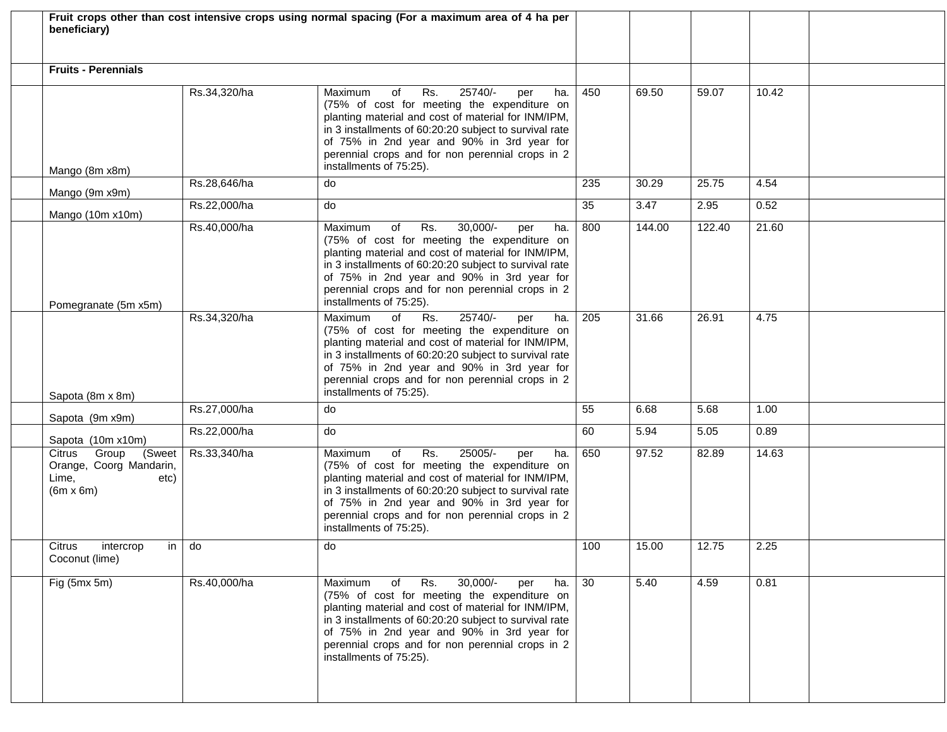| beneficiary)                                                                           |              | Fruit crops other than cost intensive crops using normal spacing (For a maximum area of 4 ha per                                                                                                                                                                                                                                              |     |        |        |       |  |
|----------------------------------------------------------------------------------------|--------------|-----------------------------------------------------------------------------------------------------------------------------------------------------------------------------------------------------------------------------------------------------------------------------------------------------------------------------------------------|-----|--------|--------|-------|--|
| <b>Fruits - Perennials</b>                                                             |              |                                                                                                                                                                                                                                                                                                                                               |     |        |        |       |  |
| Mango (8m x8m)                                                                         | Rs.34,320/ha | 25740/-<br>Maximum<br>Rs.<br>of<br>ha.<br>per<br>(75% of cost for meeting the expenditure on<br>planting material and cost of material for INM/IPM,<br>in 3 installments of 60:20:20 subject to survival rate<br>of 75% in 2nd year and 90% in 3rd year for<br>perennial crops and for non perennial crops in 2<br>installments of 75:25).    | 450 | 69.50  | 59.07  | 10.42 |  |
| Mango (9m x9m)                                                                         | Rs.28,646/ha | do                                                                                                                                                                                                                                                                                                                                            | 235 | 30.29  | 25.75  | 4.54  |  |
| Mango (10m x10m)                                                                       | Rs.22,000/ha | do                                                                                                                                                                                                                                                                                                                                            | 35  | 3.47   | 2.95   | 0.52  |  |
| Pomegranate (5m x5m)                                                                   | Rs.40,000/ha | Rs.<br>$30,000/-$<br>of<br>ha.<br>Maximum<br>per<br>(75% of cost for meeting the expenditure on<br>planting material and cost of material for INM/IPM,<br>in 3 installments of 60:20:20 subject to survival rate<br>of 75% in 2nd year and 90% in 3rd year for<br>perennial crops and for non perennial crops in 2<br>installments of 75:25). | 800 | 144.00 | 122.40 | 21.60 |  |
| Sapota (8m x 8m)                                                                       | Rs.34,320/ha | 25740/-<br>Maximum<br>of<br>Rs.<br>ha.<br>per<br>(75% of cost for meeting the expenditure on<br>planting material and cost of material for INM/IPM,<br>in 3 installments of 60:20:20 subject to survival rate<br>of 75% in 2nd year and 90% in 3rd year for<br>perennial crops and for non perennial crops in 2<br>installments of 75:25).    | 205 | 31.66  | 26.91  | 4.75  |  |
| Sapota (9m x9m)                                                                        | Rs.27,000/ha | do                                                                                                                                                                                                                                                                                                                                            | 55  | 6.68   | 5.68   | 1.00  |  |
| Sapota (10m x10m)                                                                      | Rs.22,000/ha | do                                                                                                                                                                                                                                                                                                                                            | 60  | 5.94   | 5.05   | 0.89  |  |
| Citrus Group<br>(Sweet<br>Orange, Coorg Mandarin,<br>Lime,<br>etc)<br>$(6m \times 6m)$ | Rs.33,340/ha | Rs.<br>25005/-<br>of<br>Maximum<br>ha.<br>per<br>(75% of cost for meeting the expenditure on<br>planting material and cost of material for INM/IPM,<br>in 3 installments of 60:20:20 subject to survival rate<br>of 75% in 2nd year and 90% in 3rd year for<br>perennial crops and for non perennial crops in 2<br>installments of 75:25).    | 650 | 97.52  | 82.89  | 14.63 |  |
| Citrus intercrop<br>in do<br>Coconut (lime)                                            |              | do                                                                                                                                                                                                                                                                                                                                            | 100 | 15.00  | 12.75  | 2.25  |  |
| Fig (5mx 5m)                                                                           | Rs.40,000/ha | $30,000/-$<br>Maximum<br>Rs.<br>of<br>ha.<br>per<br>(75% of cost for meeting the expenditure on<br>planting material and cost of material for INM/IPM,<br>in 3 installments of 60:20:20 subject to survival rate<br>of 75% in 2nd year and 90% in 3rd year for<br>perennial crops and for non perennial crops in 2<br>installments of 75:25). | 30  | 5.40   | 4.59   | 0.81  |  |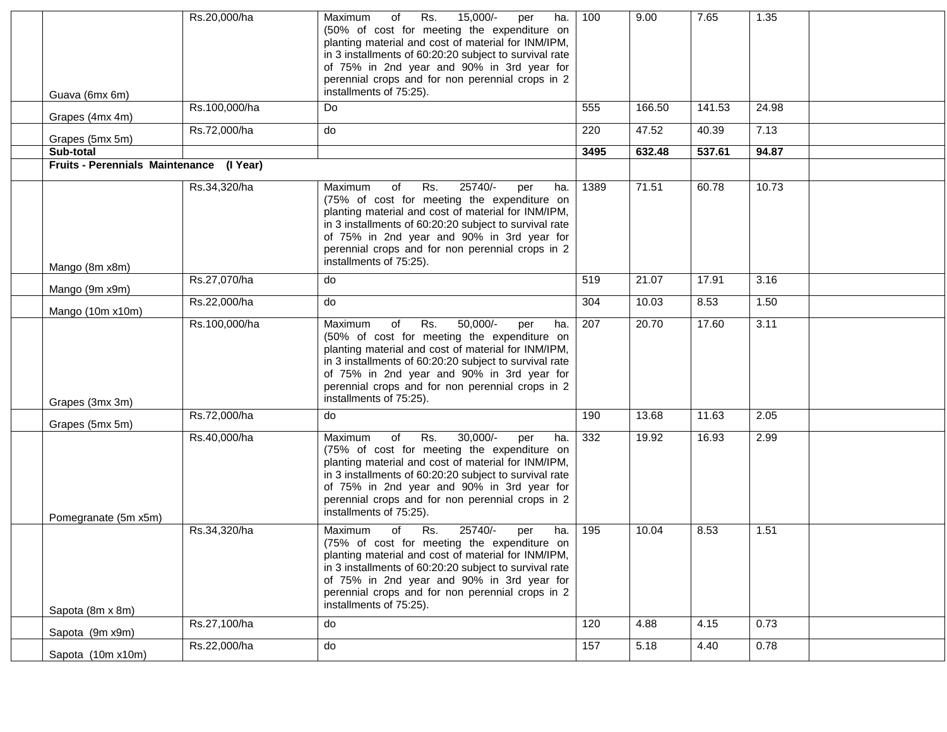|                                          | Rs.20,000/ha  | Rs.<br>15,000/-<br>Maximum<br>of<br>per<br>ha.<br>(50% of cost for meeting the expenditure on<br>planting material and cost of material for INM/IPM,<br>in 3 installments of 60:20:20 subject to survival rate<br>of 75% in 2nd year and 90% in 3rd year for<br>perennial crops and for non perennial crops in 2<br>installments of 75:25).   | 100  | 9.00   | 7.65   | 1.35  |  |
|------------------------------------------|---------------|-----------------------------------------------------------------------------------------------------------------------------------------------------------------------------------------------------------------------------------------------------------------------------------------------------------------------------------------------|------|--------|--------|-------|--|
| Guava (6mx 6m)                           | Rs.100,000/ha | Do                                                                                                                                                                                                                                                                                                                                            | 555  | 166.50 | 141.53 | 24.98 |  |
| Grapes (4mx 4m)                          |               |                                                                                                                                                                                                                                                                                                                                               |      |        |        |       |  |
| Grapes (5mx 5m)                          | Rs.72,000/ha  | do                                                                                                                                                                                                                                                                                                                                            | 220  | 47.52  | 40.39  | 7.13  |  |
| Sub-total                                |               |                                                                                                                                                                                                                                                                                                                                               | 3495 | 632.48 | 537.61 | 94.87 |  |
| Fruits - Perennials Maintenance (I Year) |               |                                                                                                                                                                                                                                                                                                                                               |      |        |        |       |  |
| Mango (8m x8m)                           | Rs.34,320/ha  | Rs.<br>25740/-<br>of<br>Maximum<br>per<br>ha.<br>(75% of cost for meeting the expenditure on<br>planting material and cost of material for INM/IPM,<br>in 3 installments of 60:20:20 subject to survival rate<br>of 75% in 2nd year and 90% in 3rd year for<br>perennial crops and for non perennial crops in 2<br>installments of 75:25).    | 1389 | 71.51  | 60.78  | 10.73 |  |
| Mango (9m x9m)                           | Rs.27,070/ha  | do                                                                                                                                                                                                                                                                                                                                            | 519  | 21.07  | 17.91  | 3.16  |  |
| Mango (10m x10m)                         | Rs.22,000/ha  | do                                                                                                                                                                                                                                                                                                                                            | 304  | 10.03  | 8.53   | 1.50  |  |
| Grapes (3mx 3m)                          | Rs.100,000/ha | Rs.<br>50,000/-<br>Maximum<br>of<br>ha.<br>per<br>(50% of cost for meeting the expenditure on<br>planting material and cost of material for INM/IPM,<br>in 3 installments of 60:20:20 subject to survival rate<br>of 75% in 2nd year and 90% in 3rd year for<br>perennial crops and for non perennial crops in 2<br>installments of 75:25).   | 207  | 20.70  | 17.60  | 3.11  |  |
| Grapes (5mx 5m)                          | Rs.72,000/ha  | do                                                                                                                                                                                                                                                                                                                                            | 190  | 13.68  | 11.63  | 2.05  |  |
|                                          | Rs.40,000/ha  | Rs.<br>$30,000/-$<br>Maximum<br>of<br>ha.<br>per<br>(75% of cost for meeting the expenditure on<br>planting material and cost of material for INM/IPM,<br>in 3 installments of 60:20:20 subject to survival rate<br>of 75% in 2nd year and 90% in 3rd year for<br>perennial crops and for non perennial crops in 2<br>installments of 75:25). | 332  | 19.92  | 16.93  | 2.99  |  |
| Pomegranate (5m x5m)                     | Rs.34,320/ha  | 25740/-<br><b>Maximum</b><br>Rs.<br>ha.<br>οf<br>per                                                                                                                                                                                                                                                                                          | 195  | 10.04  | 8.53   | 1.51  |  |
| Sapota (8m x 8m)                         |               | (75% of cost for meeting the expenditure on<br>planting material and cost of material for INM/IPM,<br>in 3 installments of 60:20:20 subject to survival rate<br>of 75% in 2nd year and 90% in 3rd year for<br>perennial crops and for non perennial crops in 2<br>installments of 75:25).                                                     |      |        |        |       |  |
| Sapota (9m x9m)                          | Rs.27,100/ha  | do                                                                                                                                                                                                                                                                                                                                            | 120  | 4.88   | 4.15   | 0.73  |  |
| Sapota (10m x10m)                        | Rs.22,000/ha  | do                                                                                                                                                                                                                                                                                                                                            | 157  | 5.18   | 4.40   | 0.78  |  |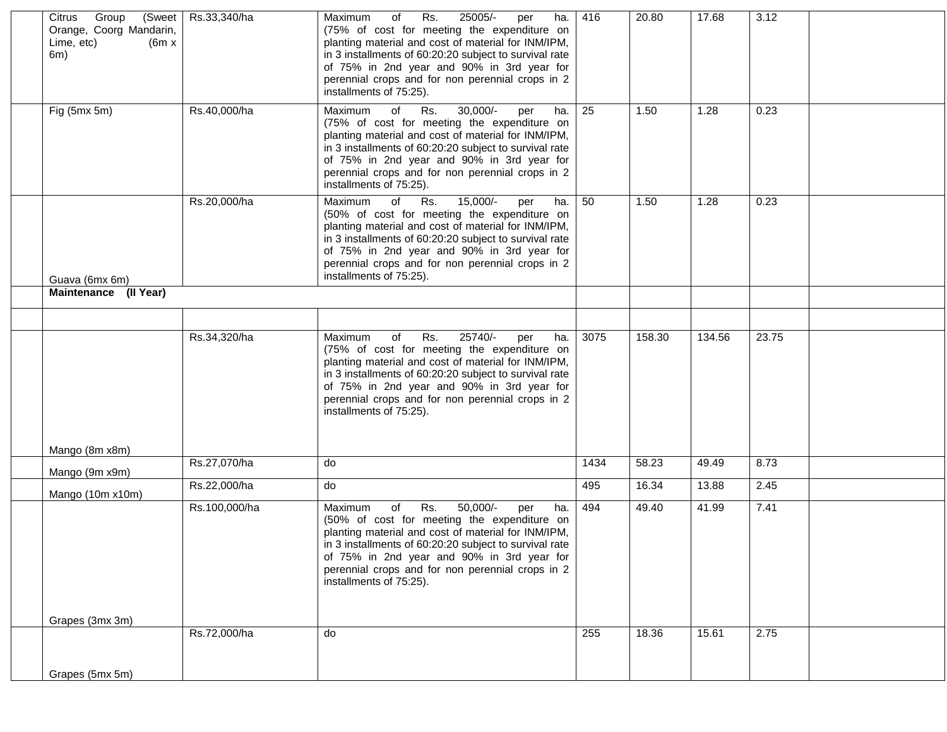| Citrus Group<br>Orange, Coorg Mandarin,<br>Lime, etc)<br>(6m x)<br>6m) | (Sweet Rs.33,340/ha | Rs.<br>25005/-<br>Maximum<br>of<br>per<br>ha.<br>(75% of cost for meeting the expenditure on<br>planting material and cost of material for INM/IPM,<br>in 3 installments of 60:20:20 subject to survival rate<br>of 75% in 2nd year and 90% in 3rd year for<br>perennial crops and for non perennial crops in 2<br>installments of 75:25).    | 416  | 20.80  | 17.68  | 3.12  |  |
|------------------------------------------------------------------------|---------------------|-----------------------------------------------------------------------------------------------------------------------------------------------------------------------------------------------------------------------------------------------------------------------------------------------------------------------------------------------|------|--------|--------|-------|--|
| Fig (5mx 5m)                                                           | Rs.40,000/ha        | Maximum<br>of<br>$30,000/-$<br>Rs.<br>ha.<br>per<br>(75% of cost for meeting the expenditure on<br>planting material and cost of material for INM/IPM,<br>in 3 installments of 60:20:20 subject to survival rate<br>of 75% in 2nd year and 90% in 3rd year for<br>perennial crops and for non perennial crops in 2<br>installments of 75:25). | 25   | 1.50   | 1.28   | 0.23  |  |
| Guava (6mx 6m)                                                         | Rs.20,000/ha        | 15,000/-<br>of<br>Rs.<br>Maximum<br>ha.<br>per<br>(50% of cost for meeting the expenditure on<br>planting material and cost of material for INM/IPM,<br>in 3 installments of 60:20:20 subject to survival rate<br>of 75% in 2nd year and 90% in 3rd year for<br>perennial crops and for non perennial crops in 2<br>installments of 75:25).   | 50   | 1.50   | 1.28   | 0.23  |  |
| Maintenance (II Year)                                                  |                     |                                                                                                                                                                                                                                                                                                                                               |      |        |        |       |  |
|                                                                        |                     |                                                                                                                                                                                                                                                                                                                                               |      |        |        |       |  |
|                                                                        | Rs.34,320/ha        | 25740/-<br>Rs.<br>Maximum<br>of<br>per<br>ha.<br>(75% of cost for meeting the expenditure on<br>planting material and cost of material for INM/IPM,<br>in 3 installments of 60:20:20 subject to survival rate<br>of 75% in 2nd year and 90% in 3rd year for<br>perennial crops and for non perennial crops in 2<br>installments of 75:25).    | 3075 | 158.30 | 134.56 | 23.75 |  |
| Mango (8m x8m)                                                         |                     |                                                                                                                                                                                                                                                                                                                                               |      |        |        |       |  |
| Mango (9m x9m)                                                         | Rs.27,070/ha        | do                                                                                                                                                                                                                                                                                                                                            | 1434 | 58.23  | 49.49  | 8.73  |  |
| Mango (10m x10m)                                                       | Rs.22,000/ha        | do                                                                                                                                                                                                                                                                                                                                            | 495  | 16.34  | 13.88  | 2.45  |  |
|                                                                        | Rs.100,000/ha       | Rs.<br>50,000/-<br>of<br>Maximum<br>ha.<br>per<br>(50% of cost for meeting the expenditure on<br>planting material and cost of material for INM/IPM,<br>in 3 installments of 60:20:20 subject to survival rate<br>of 75% in 2nd year and 90% in 3rd year for<br>perennial crops and for non perennial crops in 2<br>installments of 75:25).   | 494  | 49.40  | 41.99  | 7.41  |  |
| Grapes (3mx 3m)                                                        | Rs.72,000/ha        | do                                                                                                                                                                                                                                                                                                                                            | 255  | 18.36  | 15.61  | 2.75  |  |
|                                                                        |                     |                                                                                                                                                                                                                                                                                                                                               |      |        |        |       |  |
| Grapes (5mx 5m)                                                        |                     |                                                                                                                                                                                                                                                                                                                                               |      |        |        |       |  |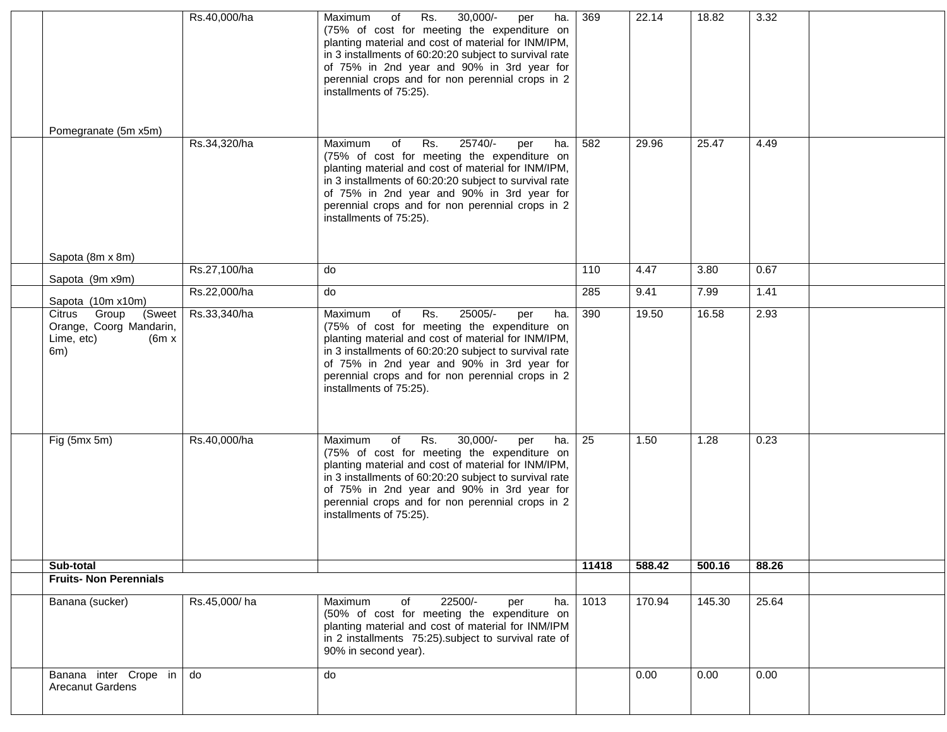|                                                                                  | Rs.40,000/ha | Rs.<br>$30,000/-$<br>Maximum<br>of<br>ha.<br>per<br>(75% of cost for meeting the expenditure on<br>planting material and cost of material for INM/IPM,<br>in 3 installments of 60:20:20 subject to survival rate<br>of 75% in 2nd year and 90% in 3rd year for<br>perennial crops and for non perennial crops in 2<br>installments of 75:25). | 369   | 22.14  | 18.82  | 3.32  |  |
|----------------------------------------------------------------------------------|--------------|-----------------------------------------------------------------------------------------------------------------------------------------------------------------------------------------------------------------------------------------------------------------------------------------------------------------------------------------------|-------|--------|--------|-------|--|
| Pomegranate (5m x5m)                                                             |              |                                                                                                                                                                                                                                                                                                                                               |       |        |        |       |  |
|                                                                                  | Rs.34,320/ha | $25740/-$<br>of<br>Rs.<br>Maximum<br>ha.<br>per<br>(75% of cost for meeting the expenditure on<br>planting material and cost of material for INM/IPM,<br>in 3 installments of 60:20:20 subject to survival rate<br>of 75% in 2nd year and 90% in 3rd year for<br>perennial crops and for non perennial crops in 2<br>installments of 75:25).  | 582   | 29.96  | 25.47  | 4.49  |  |
| Sapota (8m x 8m)                                                                 |              |                                                                                                                                                                                                                                                                                                                                               |       |        |        |       |  |
| Sapota (9m x9m)                                                                  | Rs.27,100/ha | do                                                                                                                                                                                                                                                                                                                                            | 110   | 4.47   | 3.80   | 0.67  |  |
| Sapota (10m x10m)                                                                | Rs.22,000/ha | do                                                                                                                                                                                                                                                                                                                                            | 285   | 9.41   | 7.99   | 1.41  |  |
| Citrus Group<br>(Sweet<br>Orange, Coorg Mandarin,<br>Lime, etc)<br>(6m x)<br>6m) | Rs.33,340/ha | Rs.<br>25005/-<br>of<br>Maximum<br>per<br>ha.<br>(75% of cost for meeting the expenditure on<br>planting material and cost of material for INM/IPM,<br>in 3 installments of 60:20:20 subject to survival rate<br>of 75% in 2nd year and 90% in 3rd year for<br>perennial crops and for non perennial crops in 2<br>installments of 75:25).    | 390   | 19.50  | 16.58  | 2.93  |  |
| Fig (5mx 5m)                                                                     | Rs.40,000/ha | $30,000/-$<br>Rs.<br>Maximum<br>of<br>ha.<br>per<br>(75% of cost for meeting the expenditure on<br>planting material and cost of material for INM/IPM,<br>in 3 installments of 60:20:20 subject to survival rate<br>of 75% in 2nd year and 90% in 3rd year for<br>perennial crops and for non perennial crops in 2<br>installments of 75:25). | 25    | 1.50   | 1.28   | 0.23  |  |
| Sub-total                                                                        |              |                                                                                                                                                                                                                                                                                                                                               | 11418 | 588.42 | 500.16 | 88.26 |  |
| <b>Fruits- Non Perennials</b>                                                    |              |                                                                                                                                                                                                                                                                                                                                               |       |        |        |       |  |
| Banana (sucker)                                                                  | Rs.45,000/ha | 22500/-<br>Maximum<br>of<br>ha.<br>per<br>(50% of cost for meeting the expenditure on<br>planting material and cost of material for INM/IPM<br>in 2 installments 75:25). subject to survival rate of<br>90% in second year).                                                                                                                  | 1013  | 170.94 | 145.30 | 25.64 |  |
| Banana inter Crope in do<br><b>Arecanut Gardens</b>                              |              | do                                                                                                                                                                                                                                                                                                                                            |       | 0.00   | 0.00   | 0.00  |  |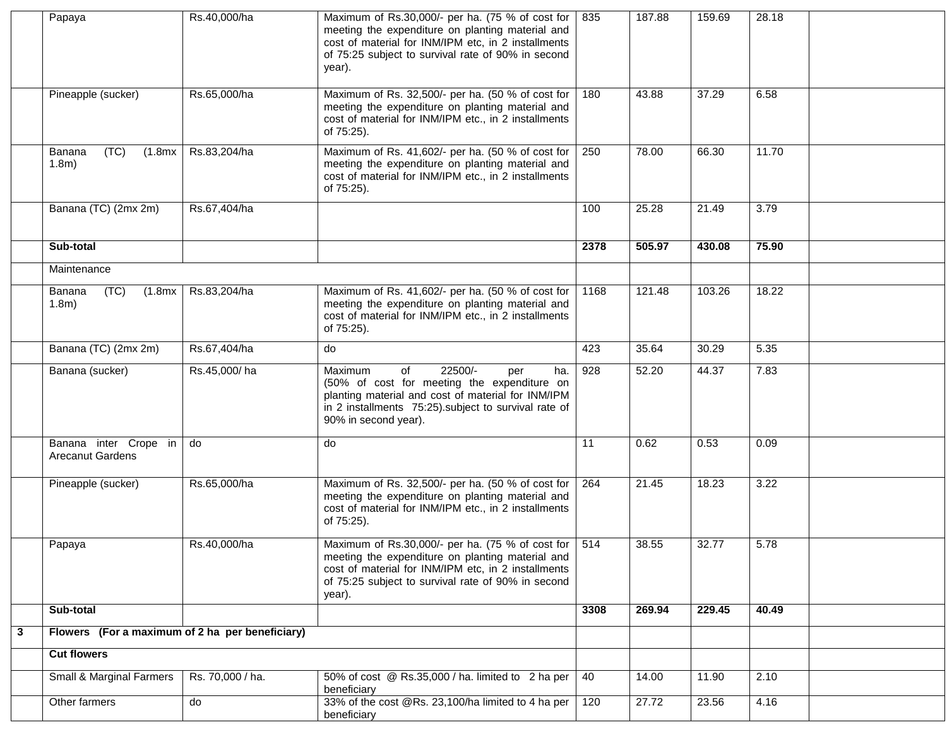|   | Papaya                                           | Rs.40,000/ha     | Maximum of Rs.30,000/- per ha. (75 % of cost for<br>meeting the expenditure on planting material and<br>cost of material for INM/IPM etc, in 2 installments<br>of 75:25 subject to survival rate of 90% in second<br>year).       | 835  | 187.88 | 159.69 | 28.18 |  |
|---|--------------------------------------------------|------------------|-----------------------------------------------------------------------------------------------------------------------------------------------------------------------------------------------------------------------------------|------|--------|--------|-------|--|
|   | Pineapple (sucker)                               | Rs.65,000/ha     | Maximum of Rs. 32,500/- per ha. (50 % of cost for<br>meeting the expenditure on planting material and<br>cost of material for INM/IPM etc., in 2 installments<br>of 75:25).                                                       | 180  | 43.88  | 37.29  | 6.58  |  |
|   | (TC)<br>Banana<br>(1.8mx<br>1.8 <sub>m</sub>     | Rs.83,204/ha     | Maximum of Rs. 41,602/- per ha. (50 % of cost for<br>meeting the expenditure on planting material and<br>cost of material for INM/IPM etc., in 2 installments<br>of 75:25).                                                       | 250  | 78.00  | 66.30  | 11.70 |  |
|   | Banana (TC) (2mx 2m)                             | Rs.67,404/ha     |                                                                                                                                                                                                                                   | 100  | 25.28  | 21.49  | 3.79  |  |
|   | Sub-total                                        |                  |                                                                                                                                                                                                                                   | 2378 | 505.97 | 430.08 | 75.90 |  |
|   | Maintenance                                      |                  |                                                                                                                                                                                                                                   |      |        |        |       |  |
|   | (TC)<br>Banana<br>(1.8mx)<br>1.8 <sub>m</sub>    | Rs.83,204/ha     | Maximum of Rs. 41,602/- per ha. (50 % of cost for<br>meeting the expenditure on planting material and<br>cost of material for INM/IPM etc., in 2 installments<br>of 75:25).                                                       | 1168 | 121.48 | 103.26 | 18.22 |  |
|   | Banana (TC) (2mx 2m)                             | Rs.67,404/ha     | do                                                                                                                                                                                                                                | 423  | 35.64  | 30.29  | 5.35  |  |
|   | Banana (sucker)                                  | Rs.45,000/ha     | 22500/-<br>Maximum<br>of<br>ha.<br>per<br>(50% of cost for meeting the expenditure on<br>planting material and cost of material for INM/IPM<br>in 2 installments 75:25). subject to survival rate of<br>90% in second year).      | 928  | 52.20  | 44.37  | 7.83  |  |
|   | Banana inter Crope in<br><b>Arecanut Gardens</b> | do               | do                                                                                                                                                                                                                                | 11   | 0.62   | 0.53   | 0.09  |  |
|   | Pineapple (sucker)                               | Rs.65,000/ha     | Maximum of Rs. 32,500/- per ha. (50 % of cost for<br>meeting the expenditure on planting material and<br>cost of material for INM/IPM etc., in 2 installments<br>of 75:25).                                                       | 264  | 21.45  | 18.23  | 3.22  |  |
|   | Papaya                                           | Rs.40,000/ha     | Maximum of Rs.30,000/- per ha. (75 % of cost for   514<br>meeting the expenditure on planting material and<br>cost of material for INM/IPM etc. in 2 installments<br>of 75:25 subject to survival rate of 90% in second<br>year). |      | 38.55  | 32.77  | 5.78  |  |
|   | Sub-total                                        |                  |                                                                                                                                                                                                                                   | 3308 | 269.94 | 229.45 | 40.49 |  |
| 3 | Flowers (For a maximum of 2 ha per beneficiary)  |                  |                                                                                                                                                                                                                                   |      |        |        |       |  |
|   | <b>Cut flowers</b>                               |                  |                                                                                                                                                                                                                                   |      |        |        |       |  |
|   | Small & Marginal Farmers                         | Rs. 70,000 / ha. | 50% of cost @ Rs.35,000 / ha. limited to 2 ha per<br>beneficiary                                                                                                                                                                  | 40   | 14.00  | 11.90  | 2.10  |  |
|   | Other farmers                                    | do               | 33% of the cost @Rs. 23,100/ha limited to 4 ha per<br>beneficiary                                                                                                                                                                 | 120  | 27.72  | 23.56  | 4.16  |  |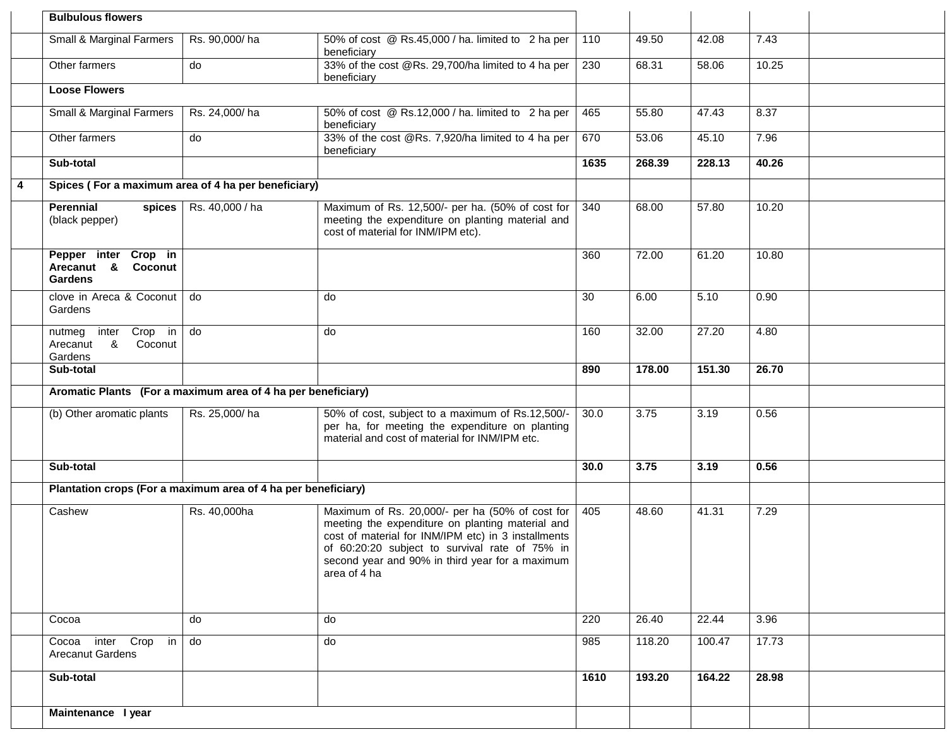|   | <b>Bulbulous flowers</b>                                        |                 |                                                                                                                                                                                                                                                                                 |                  |        |        |       |  |
|---|-----------------------------------------------------------------|-----------------|---------------------------------------------------------------------------------------------------------------------------------------------------------------------------------------------------------------------------------------------------------------------------------|------------------|--------|--------|-------|--|
|   | Small & Marginal Farmers                                        | Rs. 90,000/ha   | 50% of cost @ Rs.45,000 / ha. limited to 2 ha per<br>beneficiary                                                                                                                                                                                                                | 110              | 49.50  | 42.08  | 7.43  |  |
|   | Other farmers                                                   | do              | 33% of the cost @Rs. 29,700/ha limited to 4 ha per<br>beneficiary                                                                                                                                                                                                               | 230              | 68.31  | 58.06  | 10.25 |  |
|   | <b>Loose Flowers</b>                                            |                 |                                                                                                                                                                                                                                                                                 |                  |        |        |       |  |
|   | Small & Marginal Farmers                                        | Rs. 24,000/ha   | 50% of cost @ Rs.12,000 / ha. limited to 2 ha per<br>beneficiary                                                                                                                                                                                                                | 465              | 55.80  | 47.43  | 8.37  |  |
|   | Other farmers                                                   | do              | 33% of the cost @Rs. 7,920/ha limited to 4 ha per<br>beneficiary                                                                                                                                                                                                                | 670              | 53.06  | 45.10  | 7.96  |  |
|   | Sub-total                                                       |                 |                                                                                                                                                                                                                                                                                 | 1635             | 268.39 | 228.13 | 40.26 |  |
| 4 | Spices (For a maximum area of 4 ha per beneficiary)             |                 |                                                                                                                                                                                                                                                                                 |                  |        |        |       |  |
|   | <b>Perennial</b><br>spices<br>(black pepper)                    | Rs. 40,000 / ha | Maximum of Rs. 12,500/- per ha. (50% of cost for<br>meeting the expenditure on planting material and<br>cost of material for INM/IPM etc).                                                                                                                                      | 340              | 68.00  | 57.80  | 10.20 |  |
|   | Pepper inter Crop in<br>Arecanut &<br>Coconut<br><b>Gardens</b> |                 |                                                                                                                                                                                                                                                                                 | 360              | 72.00  | 61.20  | 10.80 |  |
|   | clove in Areca & Coconut<br>Gardens                             | do              | do                                                                                                                                                                                                                                                                              | 30               | 6.00   | 5.10   | 0.90  |  |
|   | inter Crop in<br>nutmeg<br>Arecanut &<br>Coconut<br>Gardens     | do              | do                                                                                                                                                                                                                                                                              | 160              | 32.00  | 27.20  | 4.80  |  |
|   | Sub-total                                                       |                 |                                                                                                                                                                                                                                                                                 | 890              | 178.00 | 151.30 | 26.70 |  |
|   | Aromatic Plants (For a maximum area of 4 ha per beneficiary)    |                 |                                                                                                                                                                                                                                                                                 |                  |        |        |       |  |
|   | (b) Other aromatic plants                                       | Rs. 25,000/ha   | 50% of cost, subject to a maximum of Rs.12,500/-<br>per ha, for meeting the expenditure on planting<br>material and cost of material for INM/IPM etc.                                                                                                                           | 30.0             | 3.75   | 3.19   | 0.56  |  |
|   | Sub-total                                                       |                 |                                                                                                                                                                                                                                                                                 | 30.0             | 3.75   | 3.19   | 0.56  |  |
|   | Plantation crops (For a maximum area of 4 ha per beneficiary)   |                 |                                                                                                                                                                                                                                                                                 |                  |        |        |       |  |
|   | Cashew                                                          | Rs. 40,000ha    | Maximum of Rs. 20,000/- per ha (50% of cost for<br>meeting the expenditure on planting material and<br>cost of material for INM/IPM etc) in 3 installments<br>of 60:20:20 subject to survival rate of 75% in<br>second year and 90% in third year for a maximum<br>area of 4 ha | 405              | 48.60  | 41.31  | 7.29  |  |
|   | Cocoa                                                           | do              | do                                                                                                                                                                                                                                                                              | 220              | 26.40  | 22.44  | 3.96  |  |
|   | Cocoa inter Crop in<br><b>Arecanut Gardens</b>                  | do              | do                                                                                                                                                                                                                                                                              | 985              | 118.20 | 100.47 | 17.73 |  |
|   | Sub-total                                                       |                 |                                                                                                                                                                                                                                                                                 | $\frac{1}{1610}$ | 193.20 | 164.22 | 28.98 |  |
|   | Maintenance I year                                              |                 |                                                                                                                                                                                                                                                                                 |                  |        |        |       |  |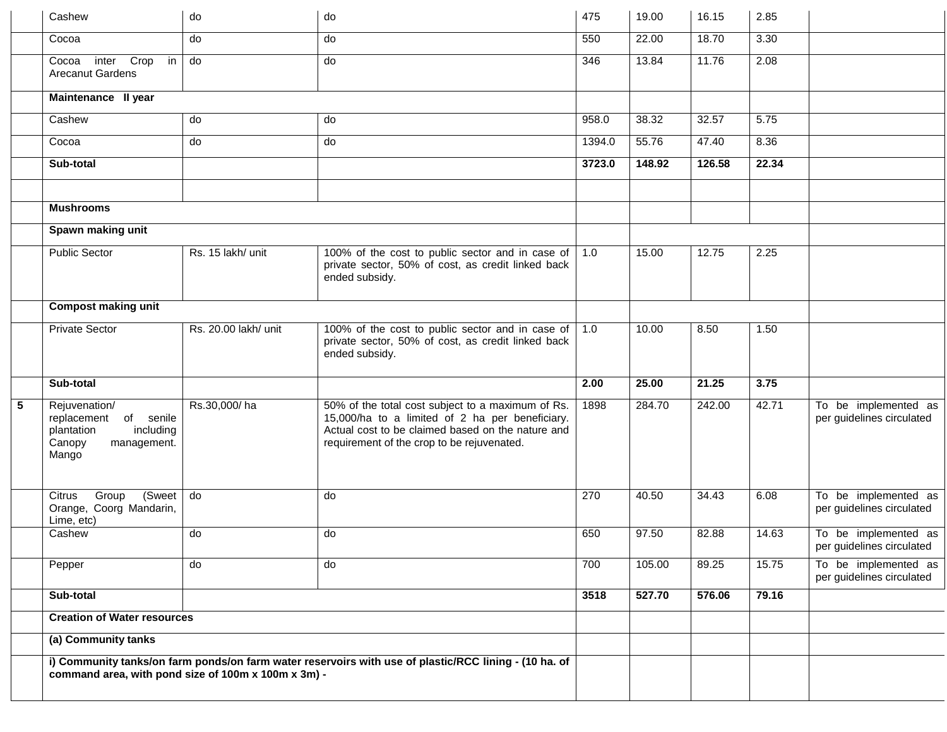|   | Cashew                                                                                              | do                   | do                                                                                                                                                                                                      | 475    | 19.00  | 16.15  | 2.85  |                                                   |
|---|-----------------------------------------------------------------------------------------------------|----------------------|---------------------------------------------------------------------------------------------------------------------------------------------------------------------------------------------------------|--------|--------|--------|-------|---------------------------------------------------|
|   | Cocoa                                                                                               | do                   | do                                                                                                                                                                                                      | 550    | 22.00  | 18.70  | 3.30  |                                                   |
|   | inter Crop<br>in<br>Cocoa<br><b>Arecanut Gardens</b>                                                | $\overline{d}$       | do                                                                                                                                                                                                      | 346    | 13.84  | 11.76  | 2.08  |                                                   |
|   | Maintenance II year                                                                                 |                      |                                                                                                                                                                                                         |        |        |        |       |                                                   |
|   | Cashew                                                                                              | do                   | do                                                                                                                                                                                                      | 958.0  | 38.32  | 32.57  | 5.75  |                                                   |
|   | Cocoa                                                                                               | do                   | do                                                                                                                                                                                                      | 1394.0 | 55.76  | 47.40  | 8.36  |                                                   |
|   | Sub-total                                                                                           |                      |                                                                                                                                                                                                         | 3723.0 | 148.92 | 126.58 | 22.34 |                                                   |
|   |                                                                                                     |                      |                                                                                                                                                                                                         |        |        |        |       |                                                   |
|   | <b>Mushrooms</b>                                                                                    |                      |                                                                                                                                                                                                         |        |        |        |       |                                                   |
|   | Spawn making unit                                                                                   |                      |                                                                                                                                                                                                         |        |        |        |       |                                                   |
|   | <b>Public Sector</b>                                                                                | Rs. 15 lakh/ unit    | 100% of the cost to public sector and in case of<br>private sector, 50% of cost, as credit linked back<br>ended subsidy.                                                                                | 1.0    | 15.00  | 12.75  | 2.25  |                                                   |
|   | <b>Compost making unit</b>                                                                          |                      |                                                                                                                                                                                                         |        |        |        |       |                                                   |
|   | <b>Private Sector</b>                                                                               | Rs. 20.00 lakh/ unit | 100% of the cost to public sector and in case of<br>private sector, 50% of cost, as credit linked back<br>ended subsidy.                                                                                | 1.0    | 10.00  | 8.50   | 1.50  |                                                   |
|   | Sub-total                                                                                           |                      |                                                                                                                                                                                                         | 2.00   | 25.00  | 21.25  | 3.75  |                                                   |
| 5 | Rejuvenation/<br>replacement of senile<br>plantation<br>including<br>Canopy<br>management.<br>Mango | Rs.30,000/ha         | 50% of the total cost subject to a maximum of Rs.<br>15,000/ha to a limited of 2 ha per beneficiary.<br>Actual cost to be claimed based on the nature and<br>requirement of the crop to be rejuvenated. | 1898   | 284.70 | 242.00 | 42.71 | To be implemented as<br>per guidelines circulated |
|   | Group<br>(Sweet<br>Citrus<br>Orange, Coorg Mandarin,<br>Lime, etc)                                  | do                   | do                                                                                                                                                                                                      | 270    | 40.50  | 34.43  | 6.08  | To be implemented as<br>per guidelines circulated |
|   | Cashew                                                                                              | do                   | do                                                                                                                                                                                                      | 650    | 97.50  | 82.88  | 14.63 | To be implemented as<br>per guidelines circulated |
|   | Pepper                                                                                              | do                   | do                                                                                                                                                                                                      | 700    | 105.00 | 89.25  | 15.75 | To be implemented as<br>per guidelines circulated |
|   | Sub-total                                                                                           |                      |                                                                                                                                                                                                         | 3518   | 527.70 | 576.06 | 79.16 |                                                   |
|   | <b>Creation of Water resources</b>                                                                  |                      |                                                                                                                                                                                                         |        |        |        |       |                                                   |
|   | (a) Community tanks                                                                                 |                      |                                                                                                                                                                                                         |        |        |        |       |                                                   |
|   | command area, with pond size of 100m x 100m x 3m) -                                                 |                      | i) Community tanks/on farm ponds/on farm water reservoirs with use of plastic/RCC lining - (10 ha. of                                                                                                   |        |        |        |       |                                                   |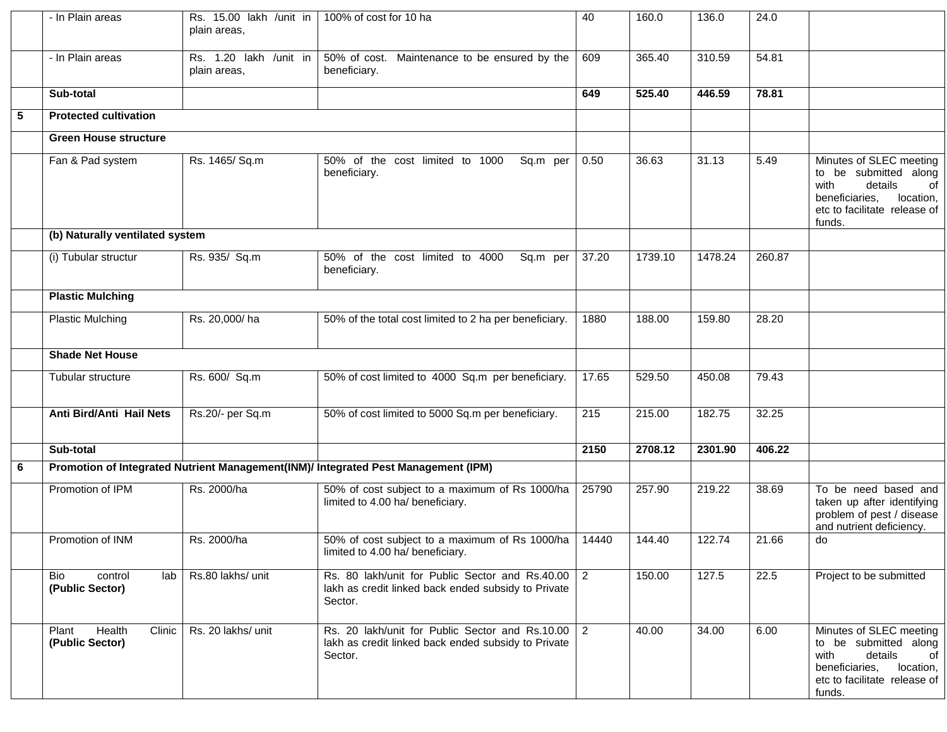|   | - In Plain areas                               | Rs. 15.00 lakh / unit in<br>plain areas. | 100% of cost for 10 ha                                                                                            | 40             | 160.0   | 136.0   | 24.0   |                                                                                                                                                    |
|---|------------------------------------------------|------------------------------------------|-------------------------------------------------------------------------------------------------------------------|----------------|---------|---------|--------|----------------------------------------------------------------------------------------------------------------------------------------------------|
|   | - In Plain areas                               | Rs. 1.20 lakh /unit in<br>plain areas,   | 50% of cost. Maintenance to be ensured by the<br>beneficiary.                                                     | 609            | 365.40  | 310.59  | 54.81  |                                                                                                                                                    |
|   | Sub-total                                      |                                          |                                                                                                                   | 649            | 525.40  | 446.59  | 78.81  |                                                                                                                                                    |
| 5 | <b>Protected cultivation</b>                   |                                          |                                                                                                                   |                |         |         |        |                                                                                                                                                    |
|   | <b>Green House structure</b>                   |                                          |                                                                                                                   |                |         |         |        |                                                                                                                                                    |
|   | Fan & Pad system                               | Rs. 1465/ Sq.m                           | 50% of the cost limited to 1000<br>Sq.m per<br>beneficiary.                                                       | 0.50           | 36.63   | 31.13   | 5.49   | Minutes of SLEC meeting<br>to be submitted along<br>with<br>details<br>0f<br>beneficiaries,<br>location,<br>etc to facilitate release of<br>funds. |
|   | (b) Naturally ventilated system                |                                          |                                                                                                                   |                |         |         |        |                                                                                                                                                    |
|   | (i) Tubular structur                           | Rs. 935/ Sq.m                            | 50% of the cost limited to 4000<br>Sq.m per<br>beneficiary.                                                       | 37.20          | 1739.10 | 1478.24 | 260.87 |                                                                                                                                                    |
|   | <b>Plastic Mulching</b>                        |                                          |                                                                                                                   |                |         |         |        |                                                                                                                                                    |
|   | <b>Plastic Mulching</b>                        | Rs. 20,000/ha                            | 50% of the total cost limited to 2 ha per beneficiary.                                                            | 1880           | 188.00  | 159.80  | 28.20  |                                                                                                                                                    |
|   | <b>Shade Net House</b>                         |                                          |                                                                                                                   |                |         |         |        |                                                                                                                                                    |
|   | Tubular structure                              | Rs. 600/ Sq.m                            | 50% of cost limited to 4000 Sq.m per beneficiary.                                                                 | 17.65          | 529.50  | 450.08  | 79.43  |                                                                                                                                                    |
|   | Anti Bird/Anti Hail Nets                       | Rs.20/- per Sq.m                         | 50% of cost limited to 5000 Sq.m per beneficiary.                                                                 | 215            | 215.00  | 182.75  | 32.25  |                                                                                                                                                    |
|   | Sub-total                                      |                                          |                                                                                                                   | 2150           | 2708.12 | 2301.90 | 406.22 |                                                                                                                                                    |
| 6 |                                                |                                          | Promotion of Integrated Nutrient Management(INM)/ Integrated Pest Management (IPM)                                |                |         |         |        |                                                                                                                                                    |
|   | Promotion of IPM                               | Rs. 2000/ha                              | 50% of cost subject to a maximum of Rs 1000/ha<br>limited to 4.00 ha/ beneficiary.                                | 25790          | 257.90  | 219.22  | 38.69  | To be need based and<br>taken up after identifying<br>problem of pest / disease<br>and nutrient deficiency.                                        |
|   | Promotion of INM                               | Rs. 2000/ha                              | 50% of cost subject to a maximum of Rs 1000/ha<br>limited to 4.00 ha/ beneficiary.                                | 14440          | 144.40  | 122.74  | 21.66  | do                                                                                                                                                 |
|   | Bio<br>control<br>lab l<br>(Public Sector)     | Rs.80 lakhs/ unit                        | Rs. 80 lakh/unit for Public Sector and Rs.40.00<br>lakh as credit linked back ended subsidy to Private<br>Sector. | $\overline{2}$ | 150.00  | 127.5   | 22.5   | Project to be submitted                                                                                                                            |
|   | Health<br>Plant<br>Clinic  <br>(Public Sector) | Rs. 20 lakhs/ unit                       | Rs. 20 lakh/unit for Public Sector and Rs.10.00<br>lakh as credit linked back ended subsidy to Private<br>Sector. | $\overline{2}$ | 40.00   | 34.00   | 6.00   | Minutes of SLEC meeting<br>to be submitted along<br>with<br>details<br>of<br>beneficiaries,<br>location,<br>etc to facilitate release of<br>funds. |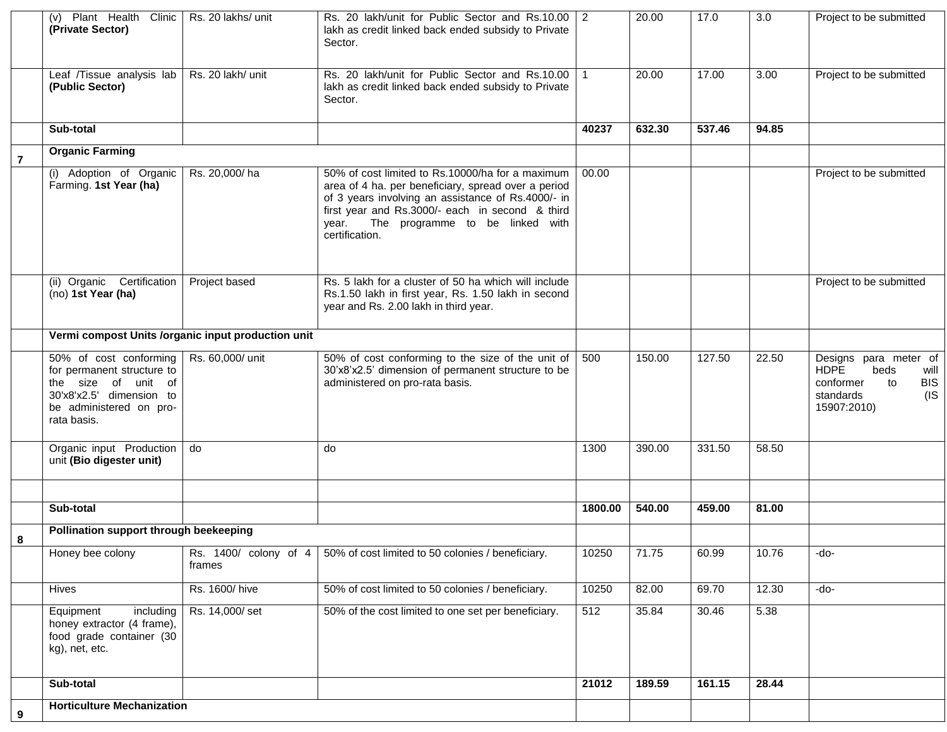|                | Plant Health Clinic<br>(v)<br>(Private Sector)                                                                                                    | Rs. 20 lakhs/ unit              | Rs. 20 lakh/unit for Public Sector and Rs.10.00 2<br>lakh as credit linked back ended subsidy to Private<br>Sector.                                                                                                                                                            |         | 20.00  | 17.0   | $\overline{3.0}$ | Project to be submitted                                                                                                     |
|----------------|---------------------------------------------------------------------------------------------------------------------------------------------------|---------------------------------|--------------------------------------------------------------------------------------------------------------------------------------------------------------------------------------------------------------------------------------------------------------------------------|---------|--------|--------|------------------|-----------------------------------------------------------------------------------------------------------------------------|
|                | Leaf /Tissue analysis lab<br>(Public Sector)                                                                                                      | Rs. 20 lakh/ unit               | Rs. 20 lakh/unit for Public Sector and Rs.10.00<br>lakh as credit linked back ended subsidy to Private<br>Sector.                                                                                                                                                              |         | 20.00  | 17.00  | 3.00             | Project to be submitted                                                                                                     |
|                | Sub-total                                                                                                                                         |                                 |                                                                                                                                                                                                                                                                                | 40237   | 632.30 | 537.46 | 94.85            |                                                                                                                             |
| $\overline{7}$ | <b>Organic Farming</b>                                                                                                                            |                                 |                                                                                                                                                                                                                                                                                |         |        |        |                  |                                                                                                                             |
|                | (i) Adoption of Organic<br>Farming. 1st Year (ha)                                                                                                 | Rs. 20,000/ha                   | 50% of cost limited to Rs.10000/ha for a maximum<br>area of 4 ha. per beneficiary, spread over a period<br>of 3 years involving an assistance of Rs.4000/- in<br>first year and Rs.3000/- each in second & third<br>The programme to be linked with<br>year.<br>certification. | 00.00   |        |        |                  | Project to be submitted                                                                                                     |
|                | (ii) Organic Certification<br>(no) 1st Year (ha)                                                                                                  | Project based                   | Rs. 5 lakh for a cluster of 50 ha which will include<br>Rs.1.50 lakh in first year, Rs. 1.50 lakh in second<br>year and Rs. 2.00 lakh in third year.                                                                                                                           |         |        |        |                  | Project to be submitted                                                                                                     |
|                | Vermi compost Units /organic input production unit                                                                                                |                                 |                                                                                                                                                                                                                                                                                |         |        |        |                  |                                                                                                                             |
|                | 50% of cost conforming<br>for permanent structure to<br>the size of unit of<br>30'x8'x2.5' dimension to<br>be administered on pro-<br>rata basis. | Rs. 60,000/ unit                | 50% of cost conforming to the size of the unit of<br>30'x8'x2.5' dimension of permanent structure to be<br>administered on pro-rata basis.                                                                                                                                     | 500     | 150.00 | 127.50 | 22.50            | Designs para meter of<br><b>HDPE</b><br>beds<br>will<br><b>BIS</b><br>conformer<br>to<br>$($ IS<br>standards<br>15907:2010) |
|                | Organic input Production<br>unit (Bio digester unit)                                                                                              | do                              | do                                                                                                                                                                                                                                                                             | 1300    | 390.00 | 331.50 | 58.50            |                                                                                                                             |
|                |                                                                                                                                                   |                                 |                                                                                                                                                                                                                                                                                |         |        |        |                  |                                                                                                                             |
|                | Sub-total                                                                                                                                         |                                 |                                                                                                                                                                                                                                                                                | 1800.00 | 540.00 | 459.00 | 81.00            |                                                                                                                             |
| 8              | Pollination support through beekeeping                                                                                                            |                                 |                                                                                                                                                                                                                                                                                |         |        |        |                  |                                                                                                                             |
|                | Honey bee colony                                                                                                                                  | Rs. 1400/ colony of 4<br>frames | 50% of cost limited to 50 colonies / beneficiary.                                                                                                                                                                                                                              | 10250   | 71.75  | 60.99  | 10.76            | -do-                                                                                                                        |
|                | Hives                                                                                                                                             | Rs. 1600/hive                   | 50% of cost limited to 50 colonies / beneficiary.                                                                                                                                                                                                                              | 10250   | 82.00  | 69.70  | 12.30            | -do-                                                                                                                        |
|                | Equipment<br>including<br>honey extractor (4 frame),<br>food grade container (30<br>kg), net, etc.                                                | Rs. 14,000/set                  | 50% of the cost limited to one set per beneficiary.                                                                                                                                                                                                                            | 512     | 35.84  | 30.46  | 5.38             |                                                                                                                             |
|                | Sub-total                                                                                                                                         |                                 |                                                                                                                                                                                                                                                                                | 21012   | 189.59 | 161.15 | 28.44            |                                                                                                                             |
| 9              | <b>Horticulture Mechanization</b>                                                                                                                 |                                 |                                                                                                                                                                                                                                                                                |         |        |        |                  |                                                                                                                             |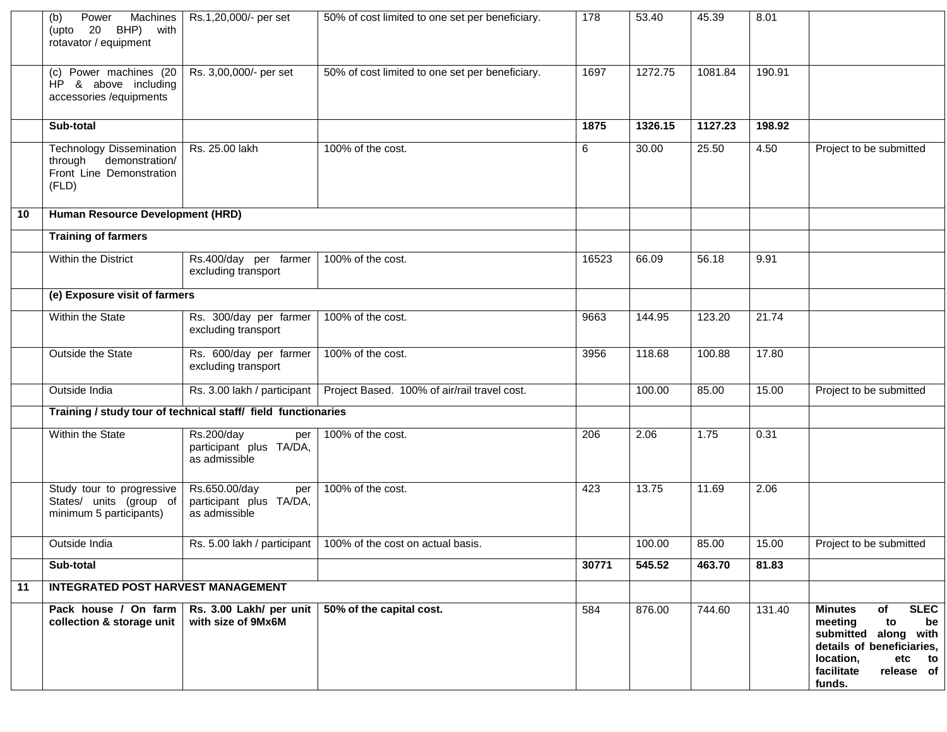|    | Machines<br>Power<br>(b)<br>(upto 20 BHP) with<br>rotavator / equipment                           | Rs.1,20,000/- per set                                            | 50% of cost limited to one set per beneficiary.                 | 178   | 53.40   | 45.39   | 8.01   |                                                                                                                                                                                 |
|----|---------------------------------------------------------------------------------------------------|------------------------------------------------------------------|-----------------------------------------------------------------|-------|---------|---------|--------|---------------------------------------------------------------------------------------------------------------------------------------------------------------------------------|
|    | (c) Power machines (20<br>HP & above including<br>accessories /equipments                         | Rs. 3,00,000/- per set                                           | 50% of cost limited to one set per beneficiary.                 | 1697  | 1272.75 | 1081.84 | 190.91 |                                                                                                                                                                                 |
|    | Sub-total                                                                                         |                                                                  |                                                                 | 1875  | 1326.15 | 1127.23 | 198.92 |                                                                                                                                                                                 |
|    | <b>Technology Dissemination</b><br>through<br>demonstration/<br>Front Line Demonstration<br>(FLD) | Rs. 25.00 lakh                                                   | 100% of the cost.                                               | 6     | 30.00   | 25.50   | 4.50   | Project to be submitted                                                                                                                                                         |
| 10 | Human Resource Development (HRD)                                                                  |                                                                  |                                                                 |       |         |         |        |                                                                                                                                                                                 |
|    | <b>Training of farmers</b>                                                                        |                                                                  |                                                                 |       |         |         |        |                                                                                                                                                                                 |
|    | Within the District                                                                               | Rs.400/day per farmer<br>excluding transport                     | 100% of the cost.                                               | 16523 | 66.09   | 56.18   | 9.91   |                                                                                                                                                                                 |
|    | (e) Exposure visit of farmers                                                                     |                                                                  |                                                                 |       |         |         |        |                                                                                                                                                                                 |
|    | Within the State                                                                                  | Rs. 300/day per farmer<br>excluding transport                    | 100% of the cost.                                               | 9663  | 144.95  | 123.20  | 21.74  |                                                                                                                                                                                 |
|    | <b>Outside the State</b>                                                                          | Rs. 600/day per farmer<br>excluding transport                    | 100% of the cost.                                               | 3956  | 118.68  | 100.88  | 17.80  |                                                                                                                                                                                 |
|    | Outside India                                                                                     | Rs. 3.00 lakh / participant                                      | Project Based. 100% of air/rail travel cost.                    |       | 100.00  | 85.00   | 15.00  | Project to be submitted                                                                                                                                                         |
|    |                                                                                                   | Training / study tour of technical staff/ field functionaries    |                                                                 |       |         |         |        |                                                                                                                                                                                 |
|    | Within the State                                                                                  | Rs.200/day<br>per<br>participant plus TA/DA,<br>as admissible    | 100% of the cost.                                               | 206   | 2.06    | 1.75    | 0.31   |                                                                                                                                                                                 |
|    | Study tour to progressive<br>States/ units (group of<br>minimum 5 participants)                   | Rs.650.00/day<br>per<br>participant plus TA/DA,<br>as admissible | 100% of the cost.                                               | 423   | 13.75   | 11.69   | 2.06   |                                                                                                                                                                                 |
|    | Outside India                                                                                     |                                                                  | Rs. 5.00 lakh / participant   100% of the cost on actual basis. |       | 100.00  | 85.00   | 15.00  | Project to be submitted                                                                                                                                                         |
|    | Sub-total                                                                                         |                                                                  |                                                                 | 30771 | 545.52  | 463.70  | 81.83  |                                                                                                                                                                                 |
| 11 | <b>INTEGRATED POST HARVEST MANAGEMENT</b>                                                         |                                                                  |                                                                 |       |         |         |        |                                                                                                                                                                                 |
|    | Pack house / On farm<br>collection & storage unit                                                 | Rs. 3.00 Lakh/ per unit<br>with size of 9Mx6M                    | 50% of the capital cost.                                        | 584   | 876.00  | 744.60  | 131.40 | <b>SLEC</b><br><b>Minutes</b><br>of<br>meeting<br>to<br>be<br>submitted along with<br>details of beneficiaries,<br>location,<br>etc<br>to<br>facilitate<br>release of<br>funds. |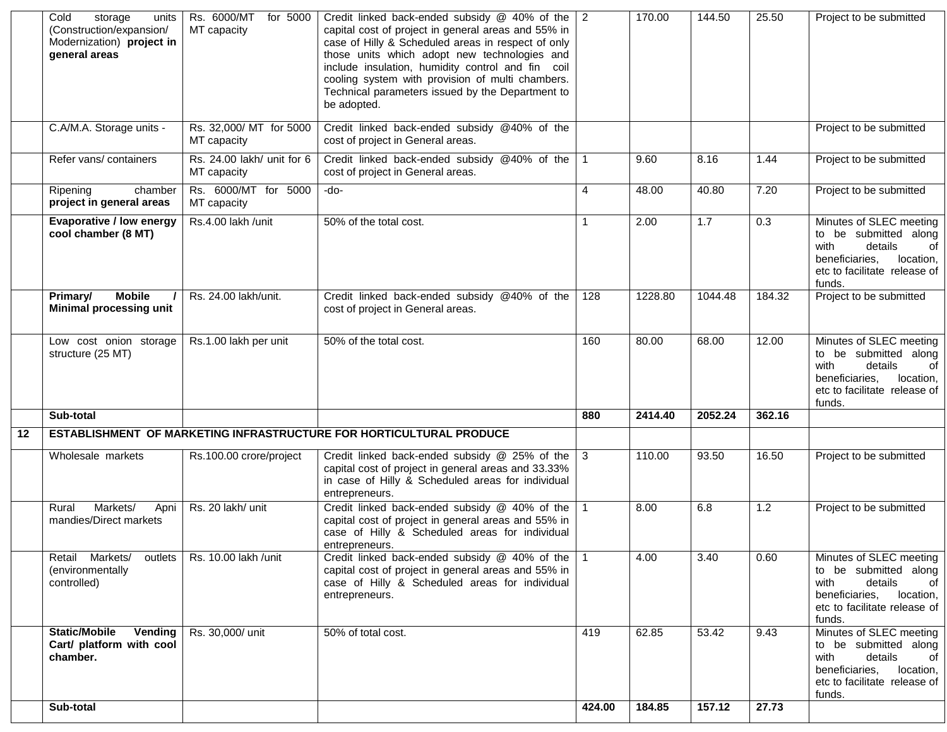|    | Cold<br>storage<br>units<br>(Construction/expansion/<br>Modernization) project in<br>general areas | Rs. 6000/MT<br>for 5000<br>MT capacity    | Credit linked back-ended subsidy $@$ 40% of the<br>capital cost of project in general areas and 55% in<br>case of Hilly & Scheduled areas in respect of only<br>those units which adopt new technologies and<br>include insulation, humidity control and fin coil<br>cooling system with provision of multi chambers.<br>Technical parameters issued by the Department to<br>be adopted. | $\overline{2}$ | 170.00  | 144.50             | 25.50  | Project to be submitted                                                                                                                            |
|----|----------------------------------------------------------------------------------------------------|-------------------------------------------|------------------------------------------------------------------------------------------------------------------------------------------------------------------------------------------------------------------------------------------------------------------------------------------------------------------------------------------------------------------------------------------|----------------|---------|--------------------|--------|----------------------------------------------------------------------------------------------------------------------------------------------------|
|    | C.A/M.A. Storage units -                                                                           | Rs. 32,000/ MT for 5000<br>MT capacity    | Credit linked back-ended subsidy @40% of the<br>cost of project in General areas.                                                                                                                                                                                                                                                                                                        |                |         |                    |        | Project to be submitted                                                                                                                            |
|    | Refer vans/ containers                                                                             | Rs. 24.00 lakh/ unit for 6<br>MT capacity | Credit linked back-ended subsidy @40% of the<br>cost of project in General areas.                                                                                                                                                                                                                                                                                                        | $\mathbf{1}$   | 9.60    | 8.16               | 1.44   | Project to be submitted                                                                                                                            |
|    | Ripening<br>chamber<br>project in general areas                                                    | Rs. 6000/MT for 5000<br>MT capacity       | -do-                                                                                                                                                                                                                                                                                                                                                                                     | 4              | 48.00   | $\overline{40.80}$ | 7.20   | Project to be submitted                                                                                                                            |
|    | <b>Evaporative / low energy</b><br>cool chamber (8 MT)                                             | Rs.4.00 lakh /unit                        | 50% of the total cost.                                                                                                                                                                                                                                                                                                                                                                   | 1              | 2.00    | 1.7                | 0.3    | Minutes of SLEC meeting<br>to be submitted along<br>with<br>details<br>of<br>beneficiaries,<br>location,<br>etc to facilitate release of<br>funds. |
|    | <b>Mobile</b><br>Primary/<br><b>Minimal processing unit</b>                                        | Rs. 24.00 lakh/unit.                      | Credit linked back-ended subsidy @40% of the<br>cost of project in General areas.                                                                                                                                                                                                                                                                                                        | 128            | 1228.80 | 1044.48            | 184.32 | Project to be submitted                                                                                                                            |
|    | Low cost onion storage<br>structure (25 MT)                                                        | Rs.1.00 lakh per unit                     | 50% of the total cost.                                                                                                                                                                                                                                                                                                                                                                   | 160            | 80.00   | 68.00              | 12.00  | Minutes of SLEC meeting<br>to be submitted along<br>details<br>with<br>of<br>beneficiaries.<br>location,<br>etc to facilitate release of<br>funds. |
|    | Sub-total                                                                                          |                                           |                                                                                                                                                                                                                                                                                                                                                                                          | 880            | 2414.40 | 2052.24            | 362.16 |                                                                                                                                                    |
| 12 |                                                                                                    |                                           | ESTABLISHMENT OF MARKETING INFRASTRUCTURE FOR HORTICULTURAL PRODUCE                                                                                                                                                                                                                                                                                                                      |                |         |                    |        |                                                                                                                                                    |
|    | Wholesale markets                                                                                  | Rs.100.00 crore/project                   | Credit linked back-ended subsidy @ 25% of the<br>capital cost of project in general areas and 33.33%<br>in case of Hilly & Scheduled areas for individual<br>entrepreneurs.                                                                                                                                                                                                              | $\mathbf{3}$   | 110.00  | 93.50              | 16.50  | Project to be submitted                                                                                                                            |
|    | Markets/<br>Apni<br>Rural<br>mandies/Direct markets                                                | Rs. 20 lakh/ unit                         | Credit linked back-ended subsidy @ 40% of the<br>capital cost of project in general areas and 55% in<br>case of Hilly & Scheduled areas for individual<br>entrepreneurs.                                                                                                                                                                                                                 | $\mathbf{1}$   | 8.00    | 6.8                | 1.2    | Project to be submitted                                                                                                                            |
|    | Retail Markets/ outlets<br>(environmentally<br>controlled)                                         | Rs. 10.00 lakh /unit                      | Credit linked back-ended subsidy @ 40% of the<br>capital cost of project in general areas and 55% in<br>case of Hilly & Scheduled areas for individual<br>entrepreneurs.                                                                                                                                                                                                                 |                | 4.00    | 3.40               | 0.60   | Minutes of SLEC meeting<br>to be submitted along<br>details<br>with<br>of<br>beneficiaries,<br>location,<br>etc to facilitate release of<br>funds. |
|    | <b>Static/Mobile</b><br>Vending<br>Cart/ platform with cool<br>chamber.                            | Rs. 30,000/ unit                          | 50% of total cost.                                                                                                                                                                                                                                                                                                                                                                       | 419            | 62.85   | 53.42              | 9.43   | Minutes of SLEC meeting<br>to be submitted along<br>with<br>details<br>οf<br>beneficiaries, location,<br>etc to facilitate release of<br>funds.    |
|    | Sub-total                                                                                          |                                           |                                                                                                                                                                                                                                                                                                                                                                                          | 424.00         | 184.85  | 157.12             | 27.73  |                                                                                                                                                    |